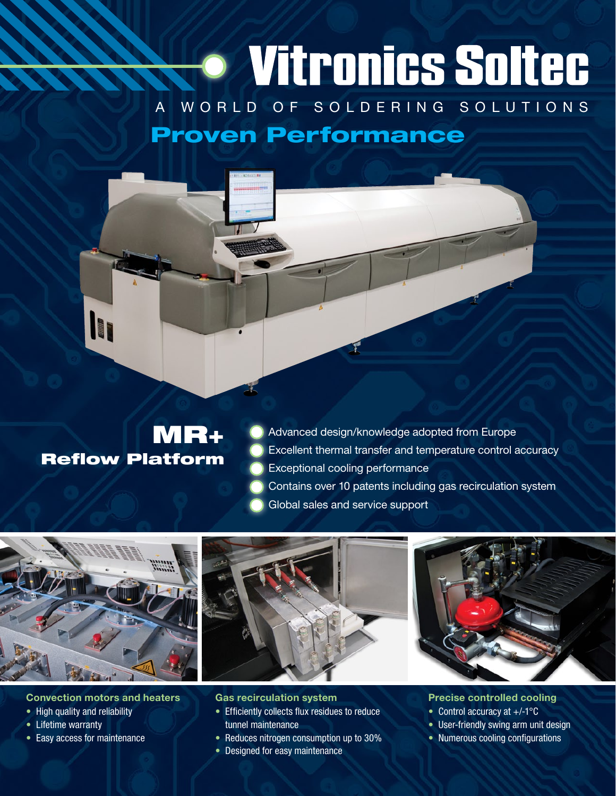## · Vitronics Soltec A WORLD OF SOLDERING SOLUTIONS Proven Performance

### MR+ Reflow Platform

Advanced design/knowledge adopted from Europe Excellent thermal transfer and temperature control accuracy Exceptional cooling performance Contains over 10 patents including gas recirculation system Global sales and service support







#### Convection motors and heaters

- High quality and reliability
- Lifetime warranty
- Easy access for maintenance

#### Gas recirculation system

- Efficiently collects flux residues to reduce tunnel maintenance
- Reduces nitrogen consumption up to 30%
- Designed for easy maintenance

#### Precise controlled cooling

- Control accuracy at  $+/-1$ <sup>o</sup>C
- User-friendly swing arm unit design
- Numerous cooling configurations